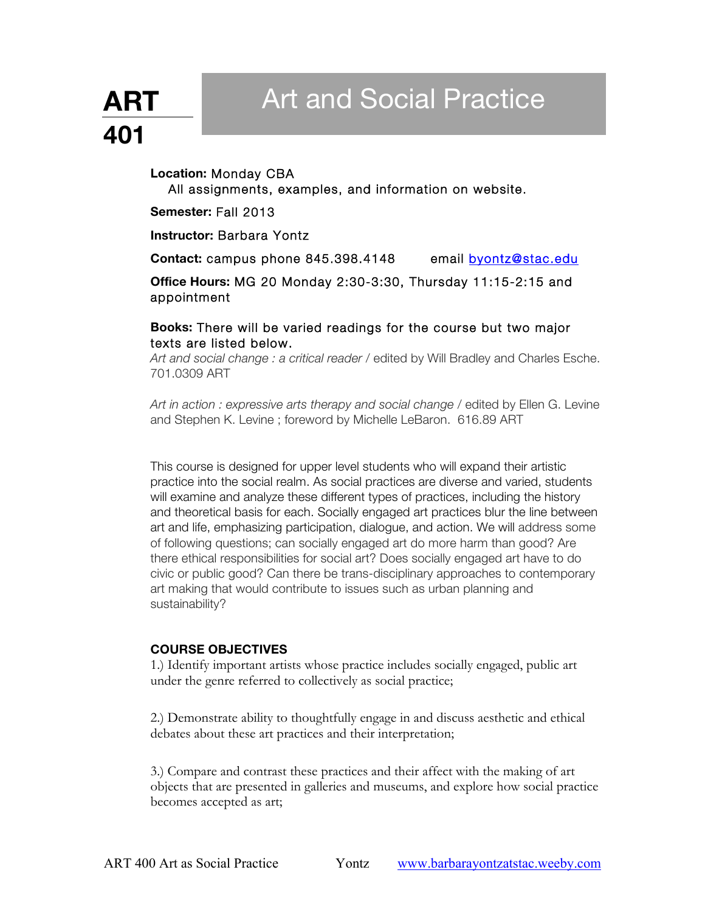# Art and Social Practice

# **ART 401**

# **Location:** Monday CBA

All assignments, examples, and information on website.

**Semester:** Fall 2013

**Instructor:** Barbara Yontz

Contact: campus phone 845.398.4148 email byontz@stac.edu

**Office Hours:** MG 20 Monday 2:30-3:30, Thursday 11:15-2:15 and appointment

# **Books:** There will be varied readings for the course but two major texts are listed below.

*Art and social change : a critical reader* / edited by Will Bradley and Charles Esche. 701.0309 ART

*Art in action : expressive arts therapy and social change* / edited by Ellen G. Levine and Stephen K. Levine ; foreword by Michelle LeBaron. 616.89 ART

This course is designed for upper level students who will expand their artistic practice into the social realm. As social practices are diverse and varied, students will examine and analyze these different types of practices, including the history and theoretical basis for each. Socially engaged art practices blur the line between art and life, emphasizing participation, dialogue, and action. We will address some of following questions; can socially engaged art do more harm than good? Are there ethical responsibilities for social art? Does socially engaged art have to do civic or public good? Can there be trans-disciplinary approaches to contemporary art making that would contribute to issues such as urban planning and sustainability?

# **COURSE OBJECTIVES**

1.) Identify important artists whose practice includes socially engaged, public art under the genre referred to collectively as social practice;

2.) Demonstrate ability to thoughtfully engage in and discuss aesthetic and ethical debates about these art practices and their interpretation;

3.) Compare and contrast these practices and their affect with the making of art objects that are presented in galleries and museums, and explore how social practice becomes accepted as art;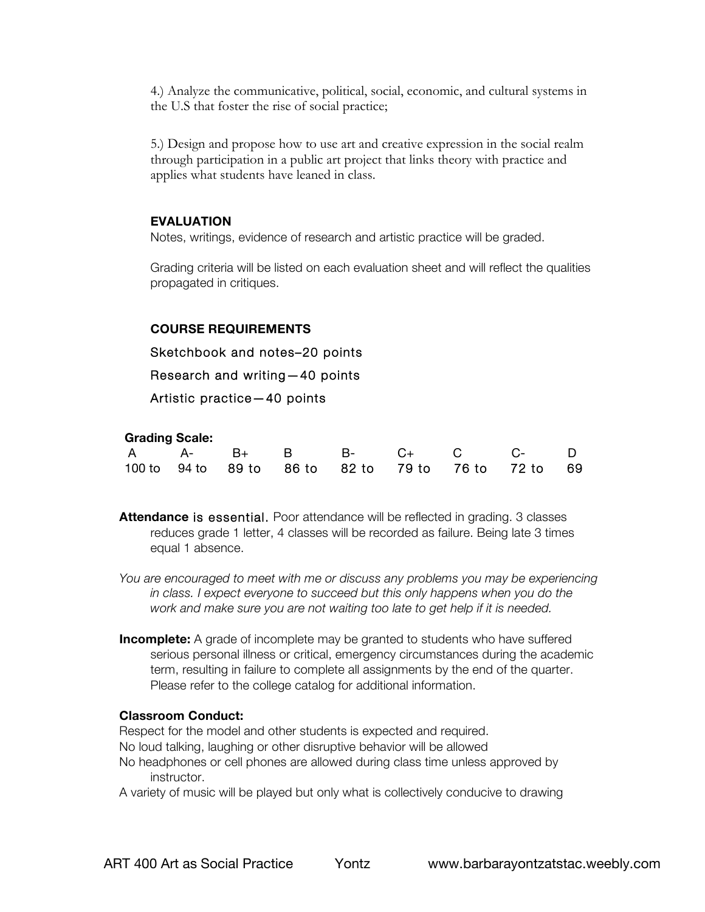4.) Analyze the communicative, political, social, economic, and cultural systems in the U.S that foster the rise of social practice;

5.) Design and propose how to use art and creative expression in the social realm through participation in a public art project that links theory with practice and applies what students have leaned in class.

### **EVALUATION**

Notes, writings, evidence of research and artistic practice will be graded.

Grading criteria will be listed on each evaluation sheet and will reflect the qualities propagated in critiques.

#### **COURSE REQUIREMENTS**

Sketchbook and notes–20 points

Research and writing—40 points

Artistic practice—40 points

#### **Grading Scale:**

|  |  |  |  |  |  | A A- B+ B B- C+ C C- D                              |  |  |
|--|--|--|--|--|--|-----------------------------------------------------|--|--|
|  |  |  |  |  |  | 100 to 94 to 89 to 86 to 82 to 79 to 76 to 72 to 69 |  |  |

**Attendance** is essential. Poor attendance will be reflected in grading. 3 classes reduces grade 1 letter, 4 classes will be recorded as failure. Being late 3 times equal 1 absence.

*You are encouraged to meet with me or discuss any problems you may be experiencing in class. I expect everyone to succeed but this only happens when you do the work and make sure you are not waiting too late to get help if it is needed.*

**Incomplete:** A grade of incomplete may be granted to students who have suffered serious personal illness or critical, emergency circumstances during the academic term, resulting in failure to complete all assignments by the end of the quarter. Please refer to the college catalog for additional information.

#### **Classroom Conduct:**

Respect for the model and other students is expected and required. No loud talking, laughing or other disruptive behavior will be allowed No headphones or cell phones are allowed during class time unless approved by instructor.

A variety of music will be played but only what is collectively conducive to drawing